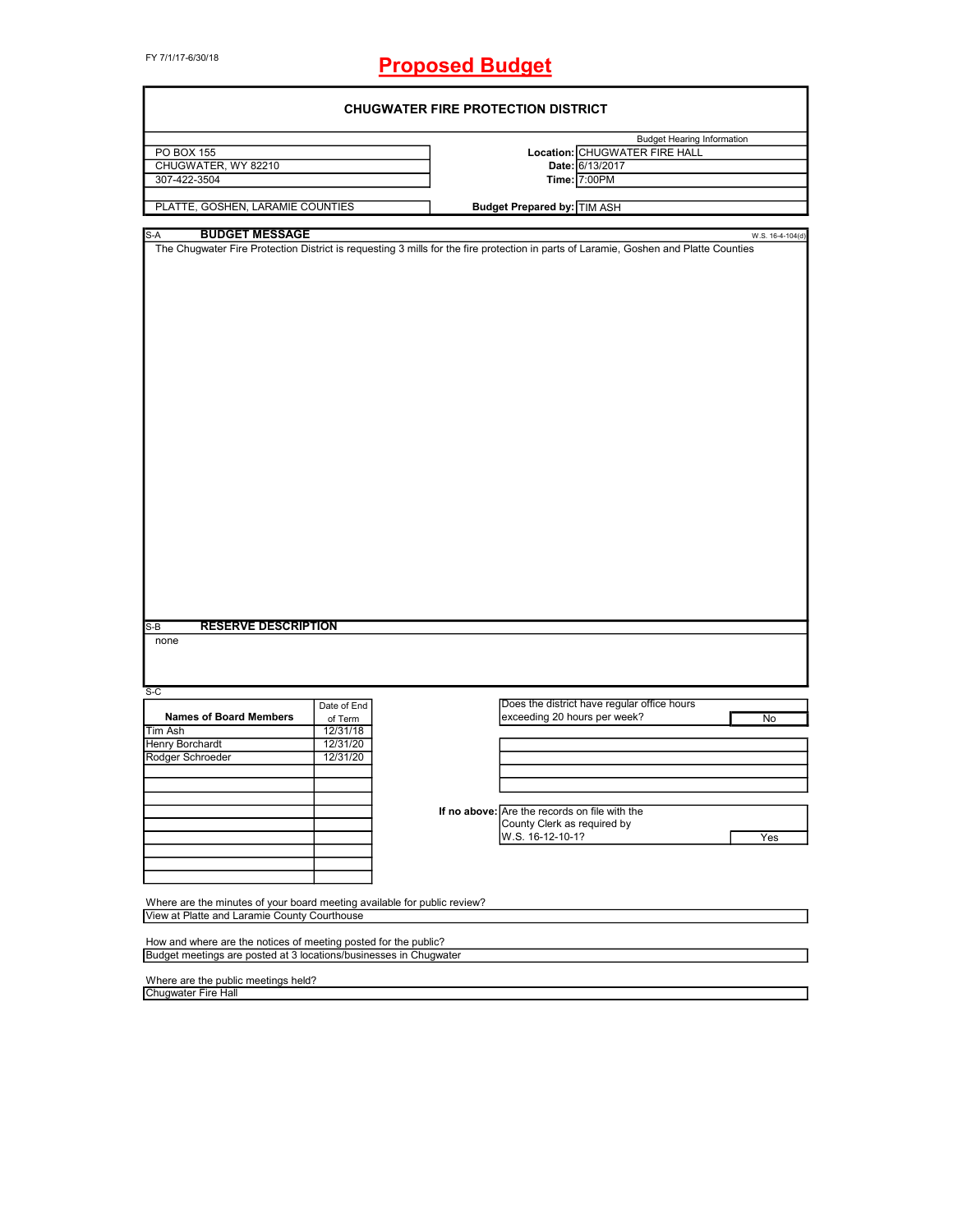# **Proposed Budget**

|                                                                          |                        | <b>CHUGWATER FIRE PROTECTION DISTRICT</b> |                                                                                                                                      |                  |  |
|--------------------------------------------------------------------------|------------------------|-------------------------------------------|--------------------------------------------------------------------------------------------------------------------------------------|------------------|--|
|                                                                          |                        |                                           | <b>Budget Hearing Information</b>                                                                                                    |                  |  |
| <b>PO BOX 155</b>                                                        |                        |                                           | Location: CHUGWATER FIRE HALL                                                                                                        |                  |  |
| CHUGWATER, WY 82210                                                      |                        |                                           | Date: 6/13/2017                                                                                                                      |                  |  |
| 307-422-3504                                                             |                        |                                           | Time: 7:00PM                                                                                                                         |                  |  |
|                                                                          |                        |                                           |                                                                                                                                      |                  |  |
| PLATTE, GOSHEN, LARAMIE COUNTIES                                         |                        |                                           | <b>Budget Prepared by: TIM ASH</b>                                                                                                   |                  |  |
| <b>BUDGET MESSAGE</b><br>S-A                                             |                        |                                           |                                                                                                                                      | W.S. 16-4-104(d) |  |
|                                                                          |                        |                                           | The Chugwater Fire Protection District is requesting 3 mills for the fire protection in parts of Laramie, Goshen and Platte Counties |                  |  |
|                                                                          |                        |                                           |                                                                                                                                      |                  |  |
| <b>RESERVE DESCRIPTION</b><br>$S-B$<br>none                              |                        |                                           |                                                                                                                                      |                  |  |
| $S-C$                                                                    |                        |                                           |                                                                                                                                      |                  |  |
| <b>Names of Board Members</b>                                            | Date of End<br>of Term |                                           | Does the district have regular office hours<br>exceeding 20 hours per week?                                                          | No               |  |
| <b>Tim Ash</b>                                                           | 12/31/18               |                                           |                                                                                                                                      |                  |  |
| <b>Henry Borchardt</b>                                                   | 12/31/20               |                                           |                                                                                                                                      |                  |  |
| Rodger Schroeder                                                         | 12/31/20               |                                           |                                                                                                                                      |                  |  |
|                                                                          |                        |                                           |                                                                                                                                      |                  |  |
|                                                                          |                        |                                           |                                                                                                                                      |                  |  |
|                                                                          |                        |                                           |                                                                                                                                      |                  |  |
|                                                                          |                        |                                           | If no above: Are the records on file with the                                                                                        |                  |  |
|                                                                          |                        |                                           | County Clerk as required by                                                                                                          |                  |  |
|                                                                          |                        |                                           | W.S. 16-12-10-1?                                                                                                                     | Yes              |  |
|                                                                          |                        |                                           |                                                                                                                                      |                  |  |
|                                                                          |                        |                                           |                                                                                                                                      |                  |  |
|                                                                          |                        |                                           |                                                                                                                                      |                  |  |
| Where are the minutes of your board meeting available for public review? |                        |                                           |                                                                                                                                      |                  |  |
| View at Platte and Laramie County Courthouse                             |                        |                                           |                                                                                                                                      |                  |  |
|                                                                          |                        |                                           |                                                                                                                                      |                  |  |
| How and where are the notices of meeting posted for the public?          |                        |                                           |                                                                                                                                      |                  |  |
| Budget meetings are posted at 3 locations/businesses in Chugwater        |                        |                                           |                                                                                                                                      |                  |  |
|                                                                          |                        |                                           |                                                                                                                                      |                  |  |
| Where are the public meetings held?                                      |                        |                                           |                                                                                                                                      |                  |  |
| <b>Chugwater Fire Hall</b>                                               |                        |                                           |                                                                                                                                      |                  |  |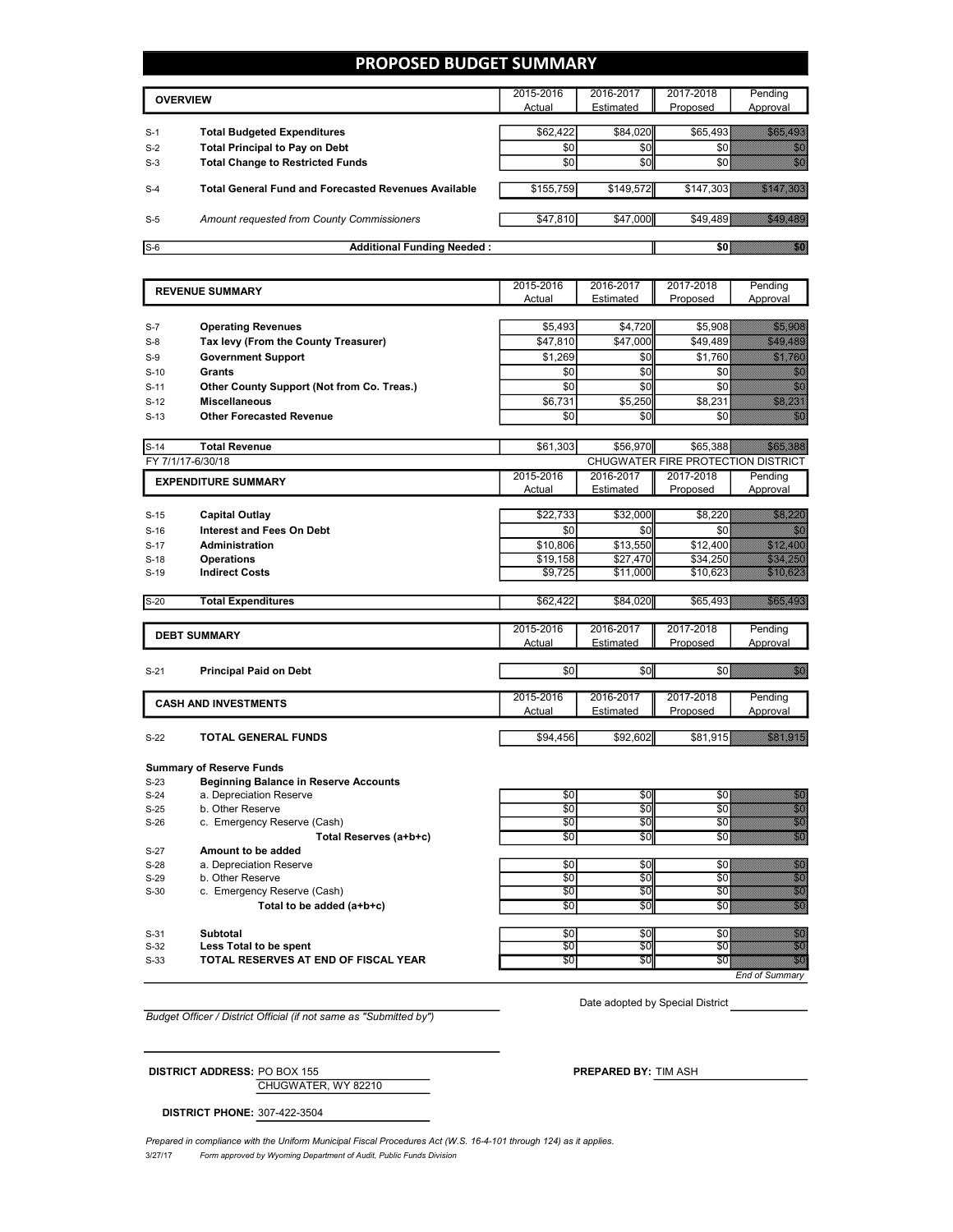# **PROPOSED BUDGET SUMMARY**

|       | <b>OVERVIEW</b>                                             | 2015-2016<br>Actual | 2016-2017<br>Estimated | 2017-2018<br>Proposed | Pending<br>Approval |
|-------|-------------------------------------------------------------|---------------------|------------------------|-----------------------|---------------------|
|       |                                                             |                     |                        |                       |                     |
| $S-1$ | <b>Total Budgeted Expenditures</b>                          | \$62,422            | \$84,020               | \$65,493              |                     |
| $S-2$ | <b>Total Principal to Pay on Debt</b>                       | \$0                 | \$0                    |                       |                     |
| $S-3$ | <b>Total Change to Restricted Funds</b>                     | \$0                 | \$0                    |                       |                     |
| $S-4$ | <b>Total General Fund and Forecasted Revenues Available</b> | \$155,759           | \$149,572              | \$147,303             |                     |
| $S-5$ | Amount requested from County Commissioners                  | \$47,810            | \$47,000               | \$49.489              |                     |
| $S-6$ | <b>Additional Funding Needed:</b>                           |                     |                        |                       |                     |

|                  | <b>REVENUE SUMMARY</b>                       | 2015-2016              | 2016-2017     | 2017-2018                          | Pending                                                                                                                                                                                                                         |
|------------------|----------------------------------------------|------------------------|---------------|------------------------------------|---------------------------------------------------------------------------------------------------------------------------------------------------------------------------------------------------------------------------------|
|                  |                                              | Actual                 | Estimated     | Proposed                           | Approval                                                                                                                                                                                                                        |
|                  |                                              |                        |               |                                    |                                                                                                                                                                                                                                 |
| $S-7$            | <b>Operating Revenues</b>                    | \$5,493                | \$4,720       | \$5,908                            | <u>n anns an ainm</u>                                                                                                                                                                                                           |
| $S-8$            | Tax levy (From the County Treasurer)         | \$47,810               | \$47,000      | \$49,489                           | <u>till de fle</u>                                                                                                                                                                                                              |
| $S-9$            | <b>Government Support</b>                    | \$1,269                | \$0           | \$1,760                            | THU U THE COL                                                                                                                                                                                                                   |
| $S-10$           | <b>Grants</b>                                | \$0                    | $\frac{6}{3}$ | \$0                                | ni<br>Ma                                                                                                                                                                                                                        |
| $S-11$           | Other County Support (Not from Co. Treas.)   | \$0                    | \$0           | \$0                                | <u>tik</u>                                                                                                                                                                                                                      |
| $S-12$           | <b>Miscellaneous</b>                         | \$6,731                | \$5,250       | \$8,231                            | <u>tik ku</u>                                                                                                                                                                                                                   |
| $S-13$           | <b>Other Forecasted Revenue</b>              | \$0                    | \$0           | \$0                                | en de la familie de la familie de la familie de la familie de la familie de la familie de la familie de la fa<br>Constituit de la familie de la familie de la familie de la familie de la familie de la familie de la familie d |
|                  |                                              |                        |               |                                    |                                                                                                                                                                                                                                 |
| $S-14$           | <b>Total Revenue</b>                         | \$61,303               | \$56,970      | \$65,388                           | <u>i ka</u>                                                                                                                                                                                                                     |
|                  | FY 7/1/17-6/30/18                            |                        |               | CHUGWATER FIRE PROTECTION DISTRICT |                                                                                                                                                                                                                                 |
|                  | <b>EXPENDITURE SUMMARY</b>                   | 2015-2016              | 2016-2017     | 2017-2018                          | Pending                                                                                                                                                                                                                         |
|                  |                                              | Actual                 | Estimated     | Proposed                           | Approval                                                                                                                                                                                                                        |
|                  |                                              |                        |               |                                    |                                                                                                                                                                                                                                 |
| $S-15$           | <b>Capital Outlay</b>                        | \$22,733               | \$32,000      | \$8,220                            | <u>ta araw asa</u>                                                                                                                                                                                                              |
| $S-16$           | <b>Interest and Fees On Debt</b>             | \$0                    | \$0           | \$0                                | <u>milli</u>                                                                                                                                                                                                                    |
| $S-17$           | <b>Administration</b>                        | \$10,806               | \$13,550      | \$12,400                           | <u>elittiin ko</u>                                                                                                                                                                                                              |
| $S-18$           | <b>Operations</b>                            | \$19,158               | \$27,470      | \$34,250                           | a a chuid ann an                                                                                                                                                                                                                |
| $S-19$           | <b>Indirect Costs</b>                        | \$9,725                | \$11,000      | \$10,623                           | <u>e ganda da shekara ta 1999</u><br>Marejeo                                                                                                                                                                                    |
| $S-20$           | <b>Total Expenditures</b>                    | \$62,422               | \$84,020      | \$65,493                           | <u>ta ar an</u>                                                                                                                                                                                                                 |
|                  |                                              |                        |               |                                    |                                                                                                                                                                                                                                 |
|                  |                                              | 2015-2016              | 2016-2017     | 2017-2018                          | Pending                                                                                                                                                                                                                         |
|                  | <b>DEBT SUMMARY</b>                          | Actual                 | Estimated     | Proposed                           | Approval                                                                                                                                                                                                                        |
|                  |                                              |                        |               |                                    |                                                                                                                                                                                                                                 |
| $S-21$           | <b>Principal Paid on Debt</b>                | \$0                    | \$0           | \$0                                | en de la familie de la familie de la familie de la familie de la familie de la familie de la familie de la fam<br>Concelho de la familie de la familie de la familie de la familie de la familie de la familie de la familie de |
|                  |                                              |                        |               |                                    |                                                                                                                                                                                                                                 |
|                  | <b>CASH AND INVESTMENTS</b>                  | 2015-2016              | 2016-2017     | 2017-2018                          | Pending                                                                                                                                                                                                                         |
|                  |                                              | Actual                 | Estimated     | Proposed                           | Approval                                                                                                                                                                                                                        |
|                  |                                              |                        |               |                                    |                                                                                                                                                                                                                                 |
| $S-22$           | <b>TOTAL GENERAL FUNDS</b>                   | \$94,456               | \$92,602      | \$81,915                           | <u>i karatikana yang dipakai karatikana di karatikana di karatikana di karatikana di karatikana di karatikana d</u>                                                                                                             |
|                  |                                              |                        |               |                                    |                                                                                                                                                                                                                                 |
|                  | <b>Summary of Reserve Funds</b>              |                        |               |                                    |                                                                                                                                                                                                                                 |
| $S-23$           | <b>Beginning Balance in Reserve Accounts</b> |                        |               |                                    |                                                                                                                                                                                                                                 |
| $S-24$           | a. Depreciation Reserve<br>b. Other Reserve  | \$0<br>$\overline{50}$ | \$0<br>\$0    | \$0<br>$\overline{50}$             | a a ainm                                                                                                                                                                                                                        |
| $S-25$<br>$C$ 26 | c Emergency Recente (Cach)                   | וח¢                    | ¢∩l           | ፍጠ≬                                | unun<br>Mõttele                                                                                                                                                                                                                 |

S-26 c. Emergency Reserve (Cash) **Total Reserves (a+b+c) b**  $\begin{bmatrix} 1 & 0 & 0 \\ 0 & 0 & 0 \\ 0 & 0 & 0 \end{bmatrix}$  \$0 \$0 \$0 S-27 **Amount to be added** S-28 a. Depreciation Reserve  $\sim$  \$0  $\sim$  \$0  $\sim$  \$0  $\sim$  \$0  $\sim$  \$0  $\sim$  \$0  $\sim$  \$0  $\sim$  \$0  $\sim$  \$0  $\sim$  \$0  $\sim$  \$0  $\sim$  \$0  $\sim$  \$0  $\sim$  \$0  $\sim$  \$0  $\sim$  \$0  $\sim$  \$0  $\sim$  \$0  $\sim$  \$0  $\sim$  \$0  $\sim$  \$0  $\sim$  \$0  $\sim$  \$0  $\sim$  \$0 S-29 b. Other Reserve  $\overline{30}$   $\overline{30}$   $\overline{30}$   $\overline{30}$   $\overline{30}$   $\overline{30}$   $\overline{30}$   $\overline{30}$ S-30 c. Emergency Reserve (Cash)  $\overline{50}$   $\overline{50}$   $\overline{50}$   $\overline{50}$   $\overline{50}$   $\overline{50}$   $\overline{50}$   $\overline{50}$   $\overline{50}$   $\overline{50}$   $\overline{50}$   $\overline{50}$   $\overline{50}$   $\overline{50}$   $\overline{50}$   $\overline{50}$   $\overline{50}$   $\overline{50}$   $\overline{50}$ **Total to be added (a+b+c)**  $\bullet$  **\$0**  $\bullet$  \$0  $\bullet$  \$0  $\bullet$  \$0  $\bullet$  \$0  $\bullet$  \$0  $\bullet$  \$0  $\bullet$  \$0  $\bullet$  \$0  $\bullet$  \$0  $\bullet$  \$0  $\bullet$  \$0  $\bullet$  \$0  $\bullet$  \$0  $\bullet$  \$0  $\bullet$  \$0  $\bullet$  \$0  $\bullet$  \$0  $\bullet$  \$0  $\bullet$  \$0  $\bullet$  \$0  $\bullet$  \$1  $\bullet$  \$1  $\bullet$  \$1 S-31 **Subtotal** \$0 \$0 \$0 \$0 \$0 \$ S-32 **Less Total to be spent** \$0 \$0 \$0 \$0 **S-33 TOTAL RESERVES AT END OF FISCAL YEAR** \$0  $\begin{bmatrix} 1 & 0 & 0 \\ 0 & 0 & 0 \\ 0 & 0 & 0 \end{bmatrix}$  \$0  $\begin{bmatrix} 0 & 0 & 0 \\ 0 & 0 & 0 \\ 0 & 0 & 0 \end{bmatrix}$ 

*Budget Officer / District Official (if not same as "Submitted by")*

Date adopted by Special District

*End of Summary*

**DISTRICT ADDRESS:** PO BOX 155 **PREPARED BY:** TIM ASH

CHUGWATER, WY 82210

**DISTRICT PHONE:** 307-422-3504

3/27/17 *Form approved by Wyoming Department of Audit, Public Funds Division* Prepared in compliance with the Uniform Municipal Fiscal Procedures Act (W.S. 16-4-101 through 124) as it applies.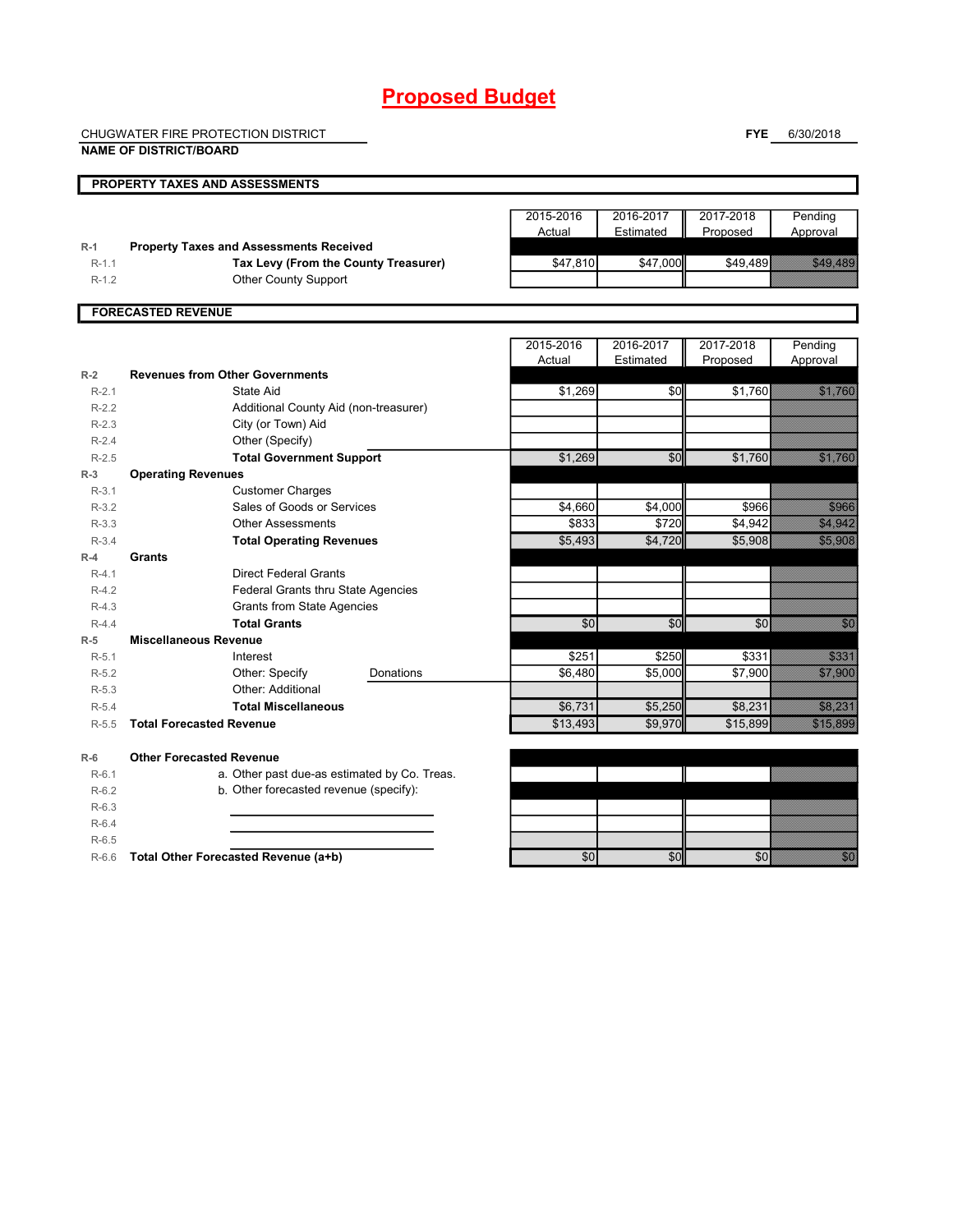# **Proposed Budget**

CHUGWATER FIRE PROTECTION DISTRICT

**FYE** 6/30/2018

|           | <b>NAME OF DISTRICT/BOARD</b>                  |                     |                        |                       |                                                                                                                                                                                                                                  |
|-----------|------------------------------------------------|---------------------|------------------------|-----------------------|----------------------------------------------------------------------------------------------------------------------------------------------------------------------------------------------------------------------------------|
|           | PROPERTY TAXES AND ASSESSMENTS                 |                     |                        |                       |                                                                                                                                                                                                                                  |
|           |                                                | 2015-2016<br>Actual | 2016-2017<br>Estimated | 2017-2018<br>Proposed | Pending<br>Approval                                                                                                                                                                                                              |
| $R-1$     | <b>Property Taxes and Assessments Received</b> |                     |                        |                       |                                                                                                                                                                                                                                  |
| $R-1.1$   | Tax Levy (From the County Treasurer)           | \$47,810            | \$47,000               | \$49,489              | <u>a shekara ta 1999</u>                                                                                                                                                                                                         |
| $R-1.2$   | <b>Other County Support</b>                    |                     |                        |                       |                                                                                                                                                                                                                                  |
|           | <b>FORECASTED REVENUE</b>                      |                     |                        |                       |                                                                                                                                                                                                                                  |
|           |                                                | 2015-2016           | 2016-2017              | 2017-2018             | Pending                                                                                                                                                                                                                          |
|           |                                                | Actual              | Estimated              | Proposed              | Approval                                                                                                                                                                                                                         |
| $R-2$     | <b>Revenues from Other Governments</b>         |                     |                        |                       |                                                                                                                                                                                                                                  |
| $R-2.1$   | State Aid                                      | \$1,269             | \$0                    | \$1,760               | <u>ti ka</u>                                                                                                                                                                                                                     |
| $R-2.2$   | Additional County Aid (non-treasurer)          |                     |                        |                       |                                                                                                                                                                                                                                  |
| $R-2.3$   | City (or Town) Aid                             |                     |                        |                       |                                                                                                                                                                                                                                  |
| $R - 2.4$ | Other (Specify)                                |                     |                        |                       |                                                                                                                                                                                                                                  |
| $R-2.5$   | <b>Total Government Support</b>                | \$1,269             | \$0                    | \$1,760               | <b>Service State</b>                                                                                                                                                                                                             |
| $R-3$     | <b>Operating Revenues</b>                      |                     |                        |                       |                                                                                                                                                                                                                                  |
| $R-3.1$   | <b>Customer Charges</b>                        |                     |                        |                       |                                                                                                                                                                                                                                  |
| $R-3.2$   | Sales of Goods or Services                     | \$4,660             | \$4,000                | \$966                 | <b>Santa Bara</b>                                                                                                                                                                                                                |
| $R-3.3$   | <b>Other Assessments</b>                       | \$833               | \$720                  | \$4,942               | <u>ting ang pag</u>                                                                                                                                                                                                              |
| $R-3.4$   | <b>Total Operating Revenues</b>                | \$5,493             | \$4,720                | \$5,908               | <u>starting</u>                                                                                                                                                                                                                  |
| $R-4$     | <b>Grants</b>                                  |                     |                        |                       |                                                                                                                                                                                                                                  |
| $R-4.1$   | <b>Direct Federal Grants</b>                   |                     |                        |                       |                                                                                                                                                                                                                                  |
| $R-4.2$   | Federal Grants thru State Agencies             |                     |                        |                       |                                                                                                                                                                                                                                  |
| $R-4.3$   | <b>Grants from State Agencies</b>              |                     |                        |                       |                                                                                                                                                                                                                                  |
| $R-4.4$   | <b>Total Grants</b>                            | \$0                 | \$0                    | \$0                   | en de la composición de la composición de la composición de la composición de la composición de la composició<br>Composición                                                                                                     |
| $R-5$     | <b>Miscellaneous Revenue</b>                   |                     |                        |                       |                                                                                                                                                                                                                                  |
| $R-5.1$   | Interest                                       | \$251               | \$250                  | \$331                 | en de la formation de la formation de la formation de la formation de la formation de la formation de la forma<br>La formation de la formation de la formation de la formation de la formation de la formation de la formation d |
| $R-5.2$   | Other: Specify<br>Donations                    | \$6,480             | \$5,000                | \$7,900               | <b>Stations</b>                                                                                                                                                                                                                  |
| $R-5.3$   | Other: Additional                              |                     |                        |                       |                                                                                                                                                                                                                                  |
| $R-5.4$   | <b>Total Miscellaneous</b>                     | \$6,731             | \$5,250                | \$8,231               | <b>Santa Barat</b>                                                                                                                                                                                                               |
| R-5.5     | <b>Total Forecasted Revenue</b>                | \$13,493            | \$9,970                | \$15,899              | <b>Albert Albert State</b><br>1970 - Paris State State State State State State State State State State State State State State State State S                                                                                     |
| $R-6$     | <b>Other Forecasted Revenue</b>                |                     |                        |                       |                                                                                                                                                                                                                                  |
| $R-6.1$   | a. Other past due-as estimated by Co. Treas.   |                     |                        |                       |                                                                                                                                                                                                                                  |
| $R-6.2$   | b. Other forecasted revenue (specify):         |                     |                        |                       |                                                                                                                                                                                                                                  |
| $R-6.3$   |                                                |                     |                        |                       |                                                                                                                                                                                                                                  |
| $R-6.4$   |                                                |                     |                        |                       |                                                                                                                                                                                                                                  |
| $R-6.5$   |                                                |                     |                        |                       |                                                                                                                                                                                                                                  |
| $R-6.6$   | Total Other Forecasted Revenue (a+b)           | 30                  | \$0                    | \$0                   | ni Sa                                                                                                                                                                                                                            |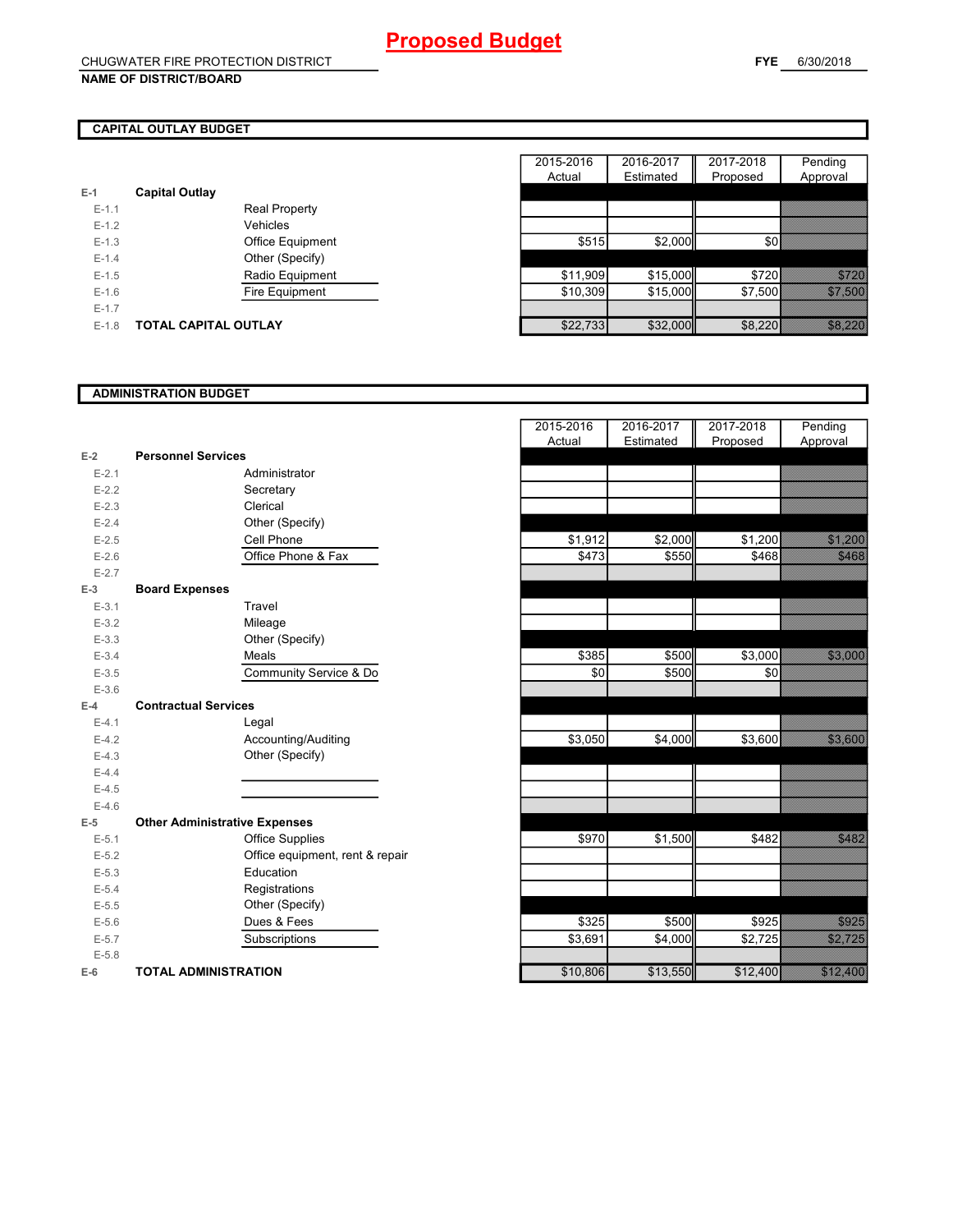## **CAPITAL OUTLAY BUDGET**

| $E-1$     | <b>Capital Outlay</b> |                         |
|-----------|-----------------------|-------------------------|
| $E - 1.1$ |                       | <b>Real Property</b>    |
| $F-1.2$   |                       | Vehicles                |
| $F-1.3$   |                       | <b>Office Equipment</b> |
| $F - 1.4$ |                       | Other (Specify)         |
| $F-1.5$   |                       | Radio Equipment         |
| $F-1.6$   |                       | Fire Equipment          |
| $F-1.7$   |                       |                         |
| $E - 1.8$ | TOTAL CAPITAL OUTLAY  |                         |

|         |                             |                      | 2015-2016 | 2016-2017 | 2017-2018 | Pending  |
|---------|-----------------------------|----------------------|-----------|-----------|-----------|----------|
|         |                             |                      | Actual    | Estimated | Proposed  | Approval |
|         | <b>Capital Outlay</b>       |                      |           |           |           |          |
| $E-1.1$ |                             | <b>Real Property</b> |           |           |           |          |
| $E-1.2$ |                             | Vehicles             |           |           |           |          |
| $E-1.3$ |                             | Office Equipment     | \$515     | \$2,000   |           |          |
| $E-1.4$ |                             | Other (Specify)      |           |           |           |          |
| $E-1.5$ |                             | Radio Equipment      | \$11,909  | \$15,000  | \$720     |          |
| $E-1.6$ |                             | Fire Equipment       | \$10,309  | \$15,000  | \$7,500   |          |
| $E-1.7$ |                             |                      |           |           |           |          |
| $E-1.8$ | <b>TOTAL CAPITAL OUTLAY</b> |                      | \$22,733  | \$32,000  | \$8,220   |          |
|         |                             |                      |           |           |           |          |

### **ADMINISTRATION BUDGET**

|           |                                      |                                 | Actual   | Estimated | Proposed |
|-----------|--------------------------------------|---------------------------------|----------|-----------|----------|
| $E-2$     | <b>Personnel Services</b>            |                                 |          |           |          |
| $E - 2.1$ |                                      | Administrator                   |          |           |          |
| $E - 2.2$ |                                      | Secretary                       |          |           |          |
| $E - 2.3$ |                                      | Clerical                        |          |           |          |
| $E - 2.4$ |                                      | Other (Specify)                 |          |           |          |
| $E-2.5$   |                                      | Cell Phone                      | \$1,912  | \$2,000   | \$1,200  |
| $E-2.6$   |                                      | Office Phone & Fax              | \$473    | \$550     | \$468    |
| $E - 2.7$ |                                      |                                 |          |           |          |
| $E-3$     | <b>Board Expenses</b>                |                                 |          |           |          |
| $E - 3.1$ |                                      | Travel                          |          |           |          |
| $E - 3.2$ |                                      | Mileage                         |          |           |          |
| $E-3.3$   |                                      | Other (Specify)                 |          |           |          |
| $E - 3.4$ |                                      | Meals                           | \$385    | \$500     | \$3,000  |
| $E-3.5$   |                                      | Community Service & Do          | \$0      | \$500     | \$0      |
| $E - 3.6$ |                                      |                                 |          |           |          |
| $E-4$     | <b>Contractual Services</b>          |                                 |          |           |          |
| $E-4.1$   |                                      | Legal                           |          |           |          |
| $E-4.2$   |                                      | Accounting/Auditing             | \$3,050  | \$4,000   | \$3,600  |
| $E-4.3$   |                                      | Other (Specify)                 |          |           |          |
| $E-4.4$   |                                      |                                 |          |           |          |
| $E-4.5$   |                                      |                                 |          |           |          |
| $E-4.6$   |                                      |                                 |          |           |          |
| $E-5$     | <b>Other Administrative Expenses</b> |                                 |          |           |          |
| $E - 5.1$ |                                      | <b>Office Supplies</b>          | \$970    | \$1,500   | \$482    |
| $E - 5.2$ |                                      | Office equipment, rent & repair |          |           |          |
| $E-5.3$   |                                      | Education                       |          |           |          |
| $E - 5.4$ |                                      | Registrations                   |          |           |          |
| $E - 5.5$ |                                      | Other (Specify)                 |          |           |          |
| $E - 5.6$ |                                      | Dues & Fees                     | \$325    | \$500     | \$925    |
| $E - 5.7$ |                                      | Subscriptions                   | \$3,691  | \$4,000   | \$2,725  |
| $E - 5.8$ |                                      |                                 |          |           |          |
| $E-6$     | <b>TOTAL ADMINISTRATION</b>          |                                 | \$10,806 | \$13,550  | \$12,400 |

|                |                                      | 2015-2016<br>Actual | 2016-2017<br>Estimated | 2017-2018<br>Proposed | Pending<br>Approval          |
|----------------|--------------------------------------|---------------------|------------------------|-----------------------|------------------------------|
| $\overline{a}$ | <b>Personnel Services</b>            |                     |                        |                       |                              |
| $E - 2.1$      | Administrator                        |                     |                        |                       |                              |
| $E - 2.2$      | Secretary                            |                     |                        |                       |                              |
| $E-2.3$        | Clerical                             |                     |                        |                       |                              |
| $E-2.4$        | Other (Specify)                      |                     |                        |                       |                              |
| $E-2.5$        | Cell Phone                           | \$1,912             | \$2,000                | \$1,200               | <u>startin o</u>             |
| $E-2.6$        | Office Phone & Fax                   | \$473               | \$550                  | \$468                 | <b>SANADO</b>                |
| $E - 2.7$      |                                      |                     |                        |                       |                              |
| 3              | <b>Board Expenses</b>                |                     |                        |                       |                              |
| $E-3.1$        | Travel                               |                     |                        |                       |                              |
| $E - 3.2$      | Mileage                              |                     |                        |                       |                              |
| $E - 3.3$      | Other (Specify)                      |                     |                        |                       |                              |
| $E - 3.4$      | Meals                                | \$385               | \$500                  | \$3,000               | <b>Standard Constitution</b> |
| $E-3.5$        | Community Service & Do               | \$0                 | \$500                  | \$0                   |                              |
| $E - 3.6$      |                                      |                     |                        |                       |                              |
| 4              | <b>Contractual Services</b>          |                     |                        |                       |                              |
| $E-4.1$        | Legal                                |                     |                        |                       |                              |
| $E-4.2$        | Accounting/Auditing                  | \$3,050             | \$4,000                | \$3,600               | <u> Sidoo</u>                |
| $E-4.3$        | Other (Specify)                      |                     |                        |                       |                              |
| $E-4.4$        |                                      |                     |                        |                       |                              |
| $E-4.5$        |                                      |                     |                        |                       |                              |
| $E-4.6$        |                                      |                     |                        |                       |                              |
| 5              | <b>Other Administrative Expenses</b> |                     |                        |                       |                              |
| $E-5.1$        | <b>Office Supplies</b>               | \$970               | \$1,500                | \$482                 | e de la filosofia<br>Altalia |
| $E - 5.2$      | Office equipment, rent & repair      |                     |                        |                       |                              |
| $E - 5.3$      | Education                            |                     |                        |                       |                              |
| $E - 5.4$      | Registrations                        |                     |                        |                       |                              |
| $E - 5.5$      | Other (Specify)                      |                     |                        |                       |                              |
| $E - 5.6$      | Dues & Fees                          | \$325               | \$500                  | \$925                 | <b>STANDARD</b>              |
| $E - 5.7$      | Subscriptions                        | \$3,691             | \$4,000                | \$2,725               | a a an ainm                  |
| $E - 5.8$      |                                      |                     |                        |                       |                              |
| â              | <b>TOTAL ADMINISTRATION</b>          | \$10,806            | \$13,550               | \$12,400              | <u> Elizabeth Carl</u>       |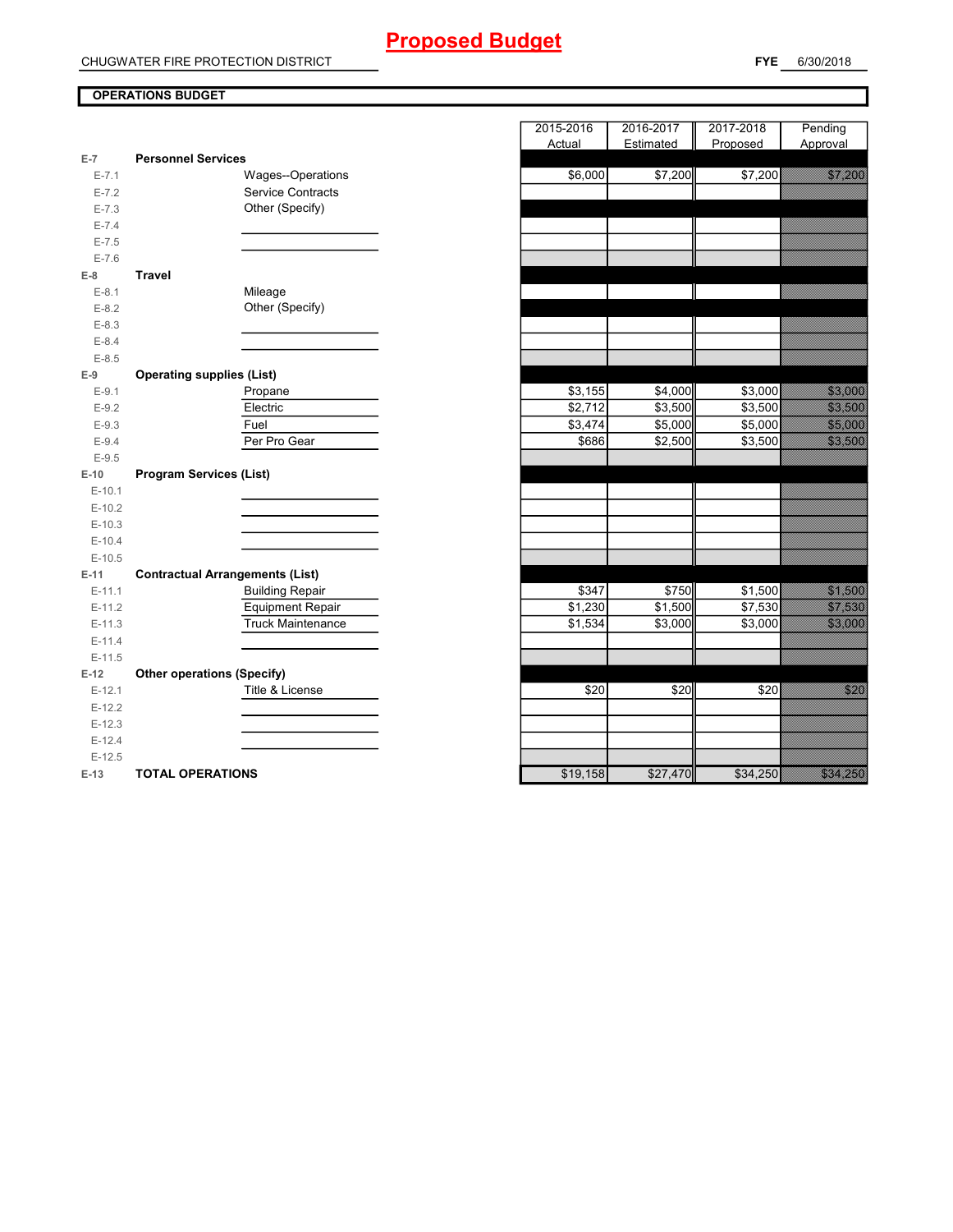# **OPERATIONS BUDGET**

| $E-7$      | <b>Personnel Services</b>              |
|------------|----------------------------------------|
| $E - 7.1$  | Wages--Operations                      |
| $E - 7.2$  | <b>Service Contracts</b>               |
| $E - 7.3$  | Other (Specify)                        |
| $E - 7.4$  |                                        |
| $E - 7.5$  |                                        |
| $E - 7.6$  |                                        |
| $E-8$      | <b>Travel</b>                          |
| $E-8.1$    | Mileage                                |
| $E-8.2$    | Other (Specify)                        |
| $E-8.3$    |                                        |
| $E - 8.4$  |                                        |
| $E-8.5$    |                                        |
| $E-9$      | <b>Operating supplies (List)</b>       |
| $E-9.1$    | Propane                                |
| $E-9.2$    | Electric                               |
| $E-9.3$    | Fuel                                   |
| $E-9.4$    | Per Pro Gear                           |
| $E-9.5$    |                                        |
| $E-10$     | <b>Program Services (List)</b>         |
| $E - 10.1$ |                                        |
| $E-10.2$   |                                        |
| $E-10.3$   |                                        |
| $E-10.4$   |                                        |
| $E-10.5$   |                                        |
| $E-11$     | <b>Contractual Arrangements (List)</b> |
| $E-11.1$   | <b>Building Repair</b>                 |
| $E-11.2$   | <b>Equipment Repair</b>                |
| $E-11.3$   | <b>Truck Maintenance</b>               |
| $E-11.4$   |                                        |
| $E-11.5$   |                                        |
| $E-12$     | <b>Other operations (Specify)</b>      |
| $E-12.1$   | Title & License                        |
| $E-12.2$   |                                        |
| $E-12.3$   |                                        |
| $E-12.4$   |                                        |
| $E-12.5$   |                                        |
|            |                                        |

|                |                                        | 2015-2016 | 2016-2017 | 2017-2018 | Pending                                                                                                                                                                                                                                  |
|----------------|----------------------------------------|-----------|-----------|-----------|------------------------------------------------------------------------------------------------------------------------------------------------------------------------------------------------------------------------------------------|
|                |                                        | Actual    | Estimated | Proposed  | Approval                                                                                                                                                                                                                                 |
| $\overline{7}$ | <b>Personnel Services</b>              |           |           |           |                                                                                                                                                                                                                                          |
| $E - 7.1$      | Wages--Operations                      | \$6,000   | \$7,200   | \$7,200   | <u> Salaman Sa</u>                                                                                                                                                                                                                       |
| $E - 7.2$      | <b>Service Contracts</b>               |           |           |           |                                                                                                                                                                                                                                          |
| $E - 7.3$      | Other (Specify)                        |           |           |           |                                                                                                                                                                                                                                          |
| $E - 7.4$      |                                        |           |           |           |                                                                                                                                                                                                                                          |
| $E - 7.5$      |                                        |           |           |           |                                                                                                                                                                                                                                          |
| $E - 7.6$      |                                        |           |           |           |                                                                                                                                                                                                                                          |
| 8              | <b>Travel</b>                          |           |           |           |                                                                                                                                                                                                                                          |
| $E-8.1$        | Mileage                                |           |           |           | <u> Kalendari Septemban Septemban Septemban Septemban Septemban Septemban Septemban Septemban Septemban Septemba</u>                                                                                                                     |
| $E-8.2$        | Other (Specify)                        |           |           |           |                                                                                                                                                                                                                                          |
| $E-8.3$        |                                        |           |           |           |                                                                                                                                                                                                                                          |
| $E - 8.4$      |                                        |           |           |           |                                                                                                                                                                                                                                          |
| $E-8.5$        |                                        |           |           |           |                                                                                                                                                                                                                                          |
| 9              | <b>Operating supplies (List)</b>       |           |           |           |                                                                                                                                                                                                                                          |
| $E-9.1$        | Propane                                | \$3,155   | \$4,000   | \$3,000   | <b>1999 - 1999 - 1999</b>                                                                                                                                                                                                                |
| $E-9.2$        | Electric                               | \$2,712   | \$3,500   | \$3,500   | <u>tin asa</u>                                                                                                                                                                                                                           |
| $E-9.3$        | Fuel                                   | \$3,474   | \$5,000   | \$5,000   | <b>1999 - 1999 - 1999 - 1999 - 1999</b><br>1999 - 1999 - 1999 - 1999 - 1999 - 1999 - 1999 - 1999 - 1999 - 1999 - 1999 - 1999 - 1999 - 1999 - 1999 - 1999<br>1999 - 1999 - 1999 - 1999 - 1999 - 1999 - 1999 - 1999 - 1999 - 1999 - 1999 - |
| $E-9.4$        | Per Pro Gear                           | \$686     | \$2,500   | \$3,500   | <u>sa mga pag</u>                                                                                                                                                                                                                        |
| $E-9.5$        |                                        |           |           |           |                                                                                                                                                                                                                                          |
| 10             | <b>Program Services (List)</b>         |           |           |           |                                                                                                                                                                                                                                          |
| $E-10.1$       |                                        |           |           |           |                                                                                                                                                                                                                                          |
| $E-10.2$       |                                        |           |           |           |                                                                                                                                                                                                                                          |
| $E-10.3$       |                                        |           |           |           |                                                                                                                                                                                                                                          |
| $E-10.4$       |                                        |           |           |           |                                                                                                                                                                                                                                          |
| $E-10.5$       |                                        |           |           |           |                                                                                                                                                                                                                                          |
| -11            | <b>Contractual Arrangements (List)</b> |           |           |           |                                                                                                                                                                                                                                          |
| $E-11.1$       | <b>Building Repair</b>                 | \$347     | \$750     | \$1,500   | <u>sana ara</u>                                                                                                                                                                                                                          |
| $E-11.2$       | <b>Equipment Repair</b>                | \$1,230   | \$1,500   | \$7,530   | <u>tions and the communication</u>                                                                                                                                                                                                       |
| $E-11.3$       | <b>Truck Maintenance</b>               | \$1,534   | \$3,000   | \$3,000   | <u> Santa Barat da</u>                                                                                                                                                                                                                   |
| $E-11.4$       |                                        |           |           |           |                                                                                                                                                                                                                                          |
| $E-11.5$       |                                        |           |           |           |                                                                                                                                                                                                                                          |
| 12             | <b>Other operations (Specify)</b>      |           |           |           |                                                                                                                                                                                                                                          |
| $E-12.1$       | Title & License                        | \$20      | \$20      | \$20      | <u>tions</u>                                                                                                                                                                                                                             |
| $E-12.2$       |                                        |           |           |           |                                                                                                                                                                                                                                          |
| $E-12.3$       |                                        |           |           |           |                                                                                                                                                                                                                                          |
| $E-12.4$       |                                        |           |           |           |                                                                                                                                                                                                                                          |
| $E-12.5$       |                                        |           |           |           |                                                                                                                                                                                                                                          |
| $-13$          | <b>TOTAL OPERATIONS</b>                | \$19,158  | \$27,470  | \$34,250  | a a mara a c                                                                                                                                                                                                                             |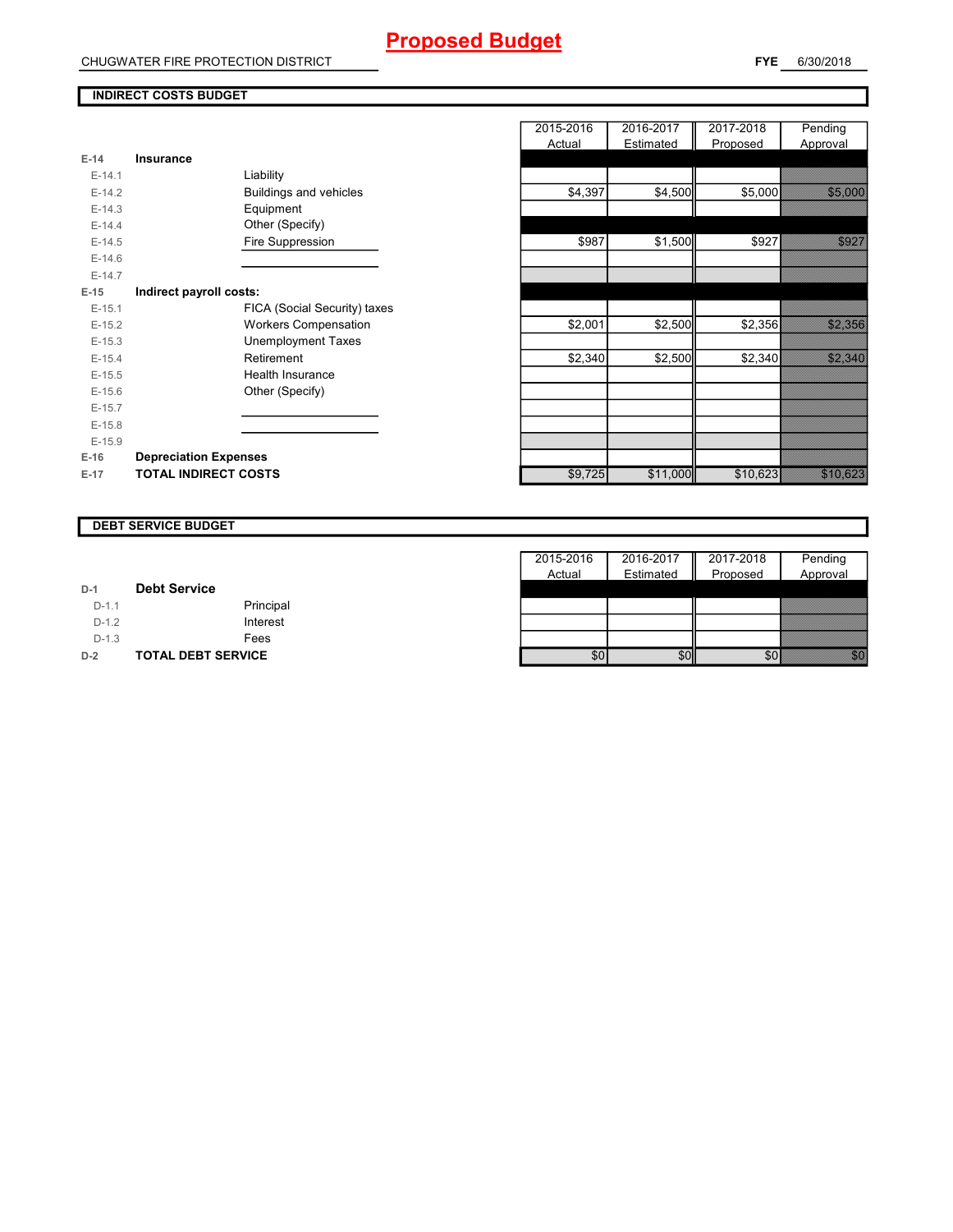### **INDIRECT COSTS BUDGET**

| $F-14$   | <b>Insurance</b>              |
|----------|-------------------------------|
| $F-141$  | Liability                     |
| $F-14.2$ | <b>Buildings and vehicles</b> |
| $E-14.3$ | Equipment                     |
| $F-14.4$ | Other (Specify)               |
| $E-14.5$ | Fire Suppression              |
| $F-14.6$ |                               |
| $F-14.7$ |                               |
| E-15     | Indirect payroll costs:       |
| $F-15.1$ | FICA (Social Security) taxes  |
| $E-15.2$ | <b>Workers Compensation</b>   |
| $F-15.3$ | Unemployment Taxes            |
| $F-15.4$ | Retirement                    |
| $F-15.5$ | Health Insurance              |
| $E-15.6$ | Other (Specify)               |
| $E-15.7$ |                               |
| $F-15.8$ |                               |
| $F-15.9$ |                               |
| $E-16$   | <b>Depreciation Expenses</b>  |
| $E-17$   | <b>TOTAL INDIRECT COSTS</b>   |

|          |                              | 2015-2016 | 2016-2017 | 2017-2018 | Pending                     |
|----------|------------------------------|-----------|-----------|-----------|-----------------------------|
|          |                              | Actual    | Estimated | Proposed  | Approval                    |
| $E-14$   | <b>Insurance</b>             |           |           |           |                             |
| $E-14.1$ | Liability                    |           |           |           |                             |
| $E-14.2$ | Buildings and vehicles       | \$4,397   | \$4,500   | \$5,000   |                             |
| $E-14.3$ | Equipment                    |           |           |           |                             |
| $E-14.4$ | Other (Specify)              |           |           |           |                             |
| $E-14.5$ | Fire Suppression             | \$987     | \$1,500   | \$927     | e de la filosofia<br>Altala |
| $E-14.6$ |                              |           |           |           |                             |
| $E-14.7$ |                              |           |           |           |                             |
| $E-15$   | Indirect payroll costs:      |           |           |           |                             |
| $E-15.1$ | FICA (Social Security) taxes |           |           |           |                             |
| $E-15.2$ | <b>Workers Compensation</b>  | \$2,001   | \$2,500   | \$2,356   | <b>Santa Barat</b>          |
| $E-15.3$ | <b>Unemployment Taxes</b>    |           |           |           |                             |
| $E-15.4$ | Retirement                   | \$2,340   | \$2,500   | \$2,340   | <u>Salah Se</u>             |
| $E-15.5$ | Health Insurance             |           |           |           |                             |
| $E-15.6$ | Other (Specify)              |           |           |           |                             |
| $E-15.7$ |                              |           |           |           |                             |
| $E-15.8$ |                              |           |           |           |                             |
| $E-15.9$ |                              |           |           |           |                             |
| E-16     | <b>Depreciation Expenses</b> |           |           |           |                             |
| $E-17$   | <b>TOTAL INDIRECT COSTS</b>  | \$9,725   | \$11,000  | \$10,623  | <u>i ka</u>                 |
|          |                              |           |           |           |                             |

## **DEBT SERVICE BUDGET**

|         |                           | 2015-2016 | 2016-2017 | 2017-2018 | Pending  |
|---------|---------------------------|-----------|-----------|-----------|----------|
|         |                           | Actual    | Estimated | Proposed  | Approval |
| $D-1$   | <b>Debt Service</b>       |           |           |           |          |
| $D-1.1$ | Principal                 |           |           |           |          |
| $D-1.2$ | Interest                  |           |           |           |          |
| $D-1.3$ | Fees                      |           |           |           |          |
| $D-2$   | <b>TOTAL DEBT SERVICE</b> | \$01      | \$0       | \$0       |          |